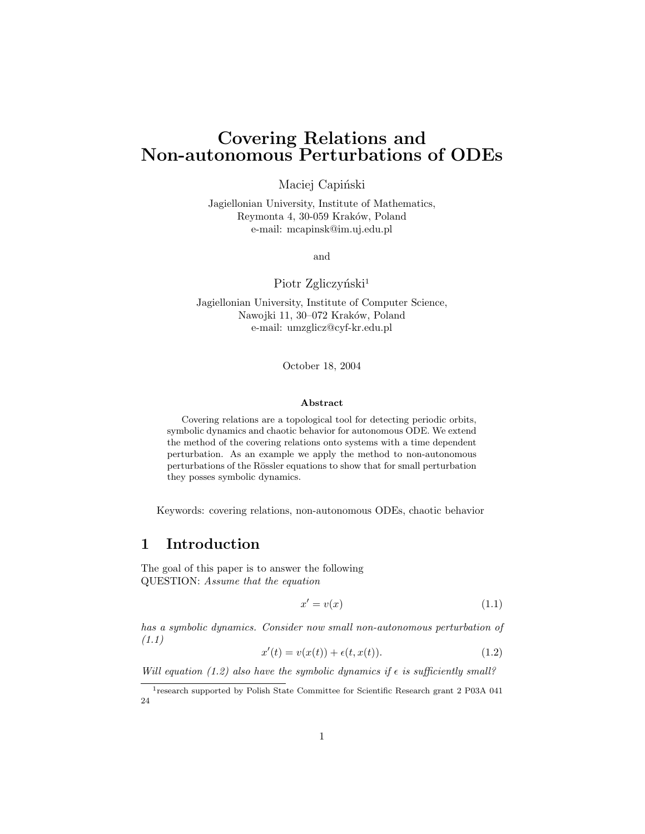# Covering Relations and Non-autonomous Perturbations of ODEs

Maciej Capiński

Jagiellonian University, Institute of Mathematics, Reymonta 4, 30-059 Kraków, Poland e-mail: mcapinsk@im.uj.edu.pl

and

Piotr Zgliczyński<sup>1</sup>

Jagiellonian University, Institute of Computer Science, Nawojki 11, 30-072 Kraków, Poland e-mail: umzglicz@cyf-kr.edu.pl

October 18, 2004

#### Abstract

Covering relations are a topological tool for detecting periodic orbits, symbolic dynamics and chaotic behavior for autonomous ODE. We extend the method of the covering relations onto systems with a time dependent perturbation. As an example we apply the method to non-autonomous perturbations of the Rössler equations to show that for small perturbation they posses symbolic dynamics.

Keywords: covering relations, non-autonomous ODEs, chaotic behavior

## 1 Introduction

The goal of this paper is to answer the following QUESTION: Assume that the equation

$$
x' = v(x) \tag{1.1}
$$

has a symbolic dynamics. Consider now small non-autonomous perturbation of (1.1)

$$
x'(t) = v(x(t)) + \epsilon(t, x(t)).
$$
\n(1.2)

Will equation (1.2) also have the symbolic dynamics if  $\epsilon$  is sufficiently small?

<sup>&</sup>lt;sup>1</sup> research supported by Polish State Committee for Scientific Research grant 2 P03A 041 24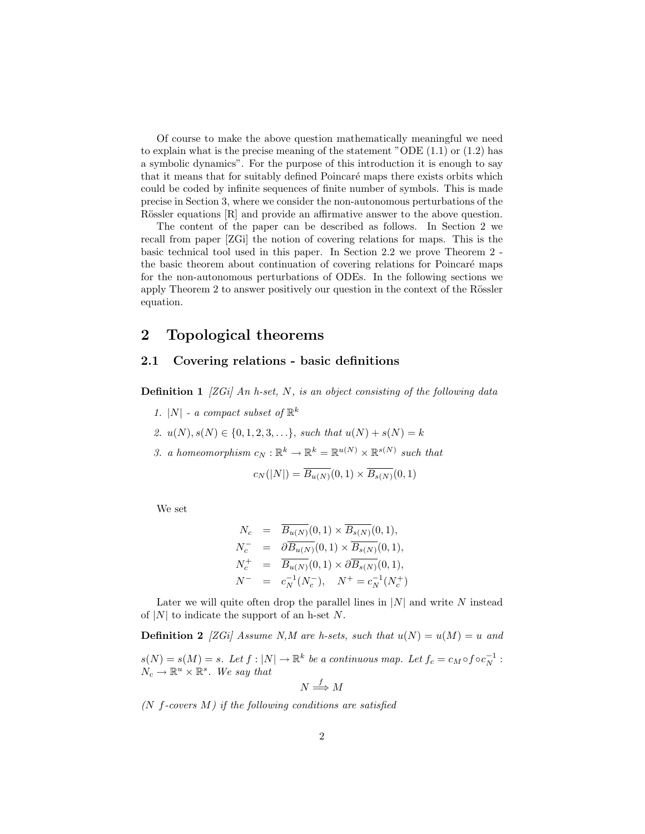Of course to make the above question mathematically meaningful we need to explain what is the precise meaning of the statement "ODE  $(1.1)$  or  $(1.2)$  has a symbolic dynamics". For the purpose of this introduction it is enough to say that it means that for suitably defined Poincaré maps there exists orbits which could be coded by infinite sequences of finite number of symbols. This is made precise in Section 3, where we consider the non-autonomous perturbations of the Rössler equations [R] and provide an affirmative answer to the above question.

The content of the paper can be described as follows. In Section 2 we recall from paper [ZGi] the notion of covering relations for maps. This is the basic technical tool used in this paper. In Section 2.2 we prove Theorem 2 the basic theorem about continuation of covering relations for Poincaré maps for the non-autonomous perturbations of ODEs. In the following sections we apply Theorem 2 to answer positively our question in the context of the Rössler equation.

### 2 Topological theorems

#### 2.1 Covering relations - basic definitions

**Definition 1** [ZGi] An h-set, N, is an object consisting of the following data

- 1. |N| a compact subset of  $\mathbb{R}^k$
- 2.  $u(N), s(N) \in \{0, 1, 2, 3, \ldots\}$ , such that  $u(N) + s(N) = k$
- 3. a homeomorphism  $c_N : \mathbb{R}^k \to \mathbb{R}^k = \mathbb{R}^{u(N)} \times \mathbb{R}^{s(N)}$  such that

$$
c_N(|N|) = \overline{B_{u(N)}}(0,1) \times \overline{B_{s(N)}}(0,1)
$$

We set

$$
N_c = \overline{B_{u(N)}}(0,1) \times \overline{B_{s(N)}}(0,1),
$$
  
\n
$$
N_c^- = \partial \overline{B_{u(N)}}(0,1) \times \overline{B_{s(N)}}(0,1),
$$
  
\n
$$
N_c^+ = \overline{B_{u(N)}}(0,1) \times \partial \overline{B_{s(N)}}(0,1),
$$
  
\n
$$
N^- = c_N^{-1}(N_c^-), \quad N^+ = c_N^{-1}(N_c^+)
$$

Later we will quite often drop the parallel lines in  $|N|$  and write N instead of |N| to indicate the support of an h-set N.

**Definition 2** [ZGi] Assume N,M are h-sets, such that  $u(N) = u(M) = u$  and  $s(N) = s(M) = s$ . Let  $f : |N| \to \mathbb{R}^k$  be a continuous map. Let  $f_c = c_M \circ f \circ c_N^{-1}$ :  $N_c \to \mathbb{R}^u \times \mathbb{R}^s$ . We say that

$$
N \stackrel{f}{\Longrightarrow} M
$$

 $(N \text{ } f\text{-} covers \text{ } M)$  if the following conditions are satisfied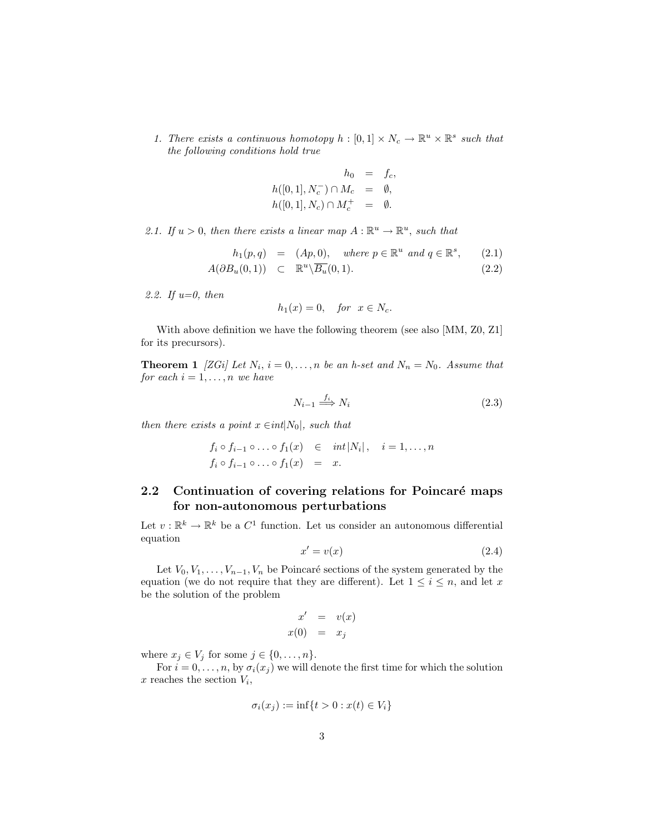1. There exists a continuous homotopy  $h : [0,1] \times N_c \to \mathbb{R}^u \times \mathbb{R}^s$  such that the following conditions hold true

$$
h_0 = f_c,
$$
  
\n
$$
h([0,1], N_c^-) \cap M_c = \emptyset,
$$
  
\n
$$
h([0,1], N_c) \cap M_c^+ = \emptyset.
$$

2.1. If  $u > 0$ , then there exists a linear map  $A : \mathbb{R}^u \to \mathbb{R}^u$ , such that

$$
h_1(p,q) = (Ap, 0), \quad where \ p \in \mathbb{R}^u \ and \ q \in \mathbb{R}^s, \qquad (2.1)
$$

$$
A(\partial B_u(0,1)) \subset \mathbb{R}^u \setminus \overline{B_u}(0,1). \tag{2.2}
$$

2.2. If  $u=0$ , then

$$
h_1(x) = 0, \quad \text{for } x \in N_c.
$$

With above definition we have the following theorem (see also [MM, Z0, Z1] for its precursors).

**Theorem 1** [ZGi] Let  $N_i$ ,  $i = 0, ..., n$  be an h-set and  $N_n = N_0$ . Assume that for each  $i = 1, \ldots, n$  we have

$$
N_{i-1} \stackrel{f_i}{\Longrightarrow} N_i \tag{2.3}
$$

then there exists a point  $x \in int|N_0|$ , such that

$$
f_i \circ f_{i-1} \circ \ldots \circ f_1(x) \in int |N_i|, \quad i = 1, \ldots, n
$$
  

$$
f_i \circ f_{i-1} \circ \ldots \circ f_1(x) = x.
$$

### 2.2 Continuation of covering relations for Poincaré maps for non-autonomous perturbations

Let  $v: \mathbb{R}^k \to \mathbb{R}^k$  be a  $C^1$  function. Let us consider an autonomous differential equation

$$
x' = v(x) \tag{2.4}
$$

Let  $V_0, V_1, \ldots, V_{n-1}, V_n$  be Poincaré sections of the system generated by the equation (we do not require that they are different). Let  $1 \leq i \leq n$ , and let x be the solution of the problem

$$
\begin{array}{rcl}\nx' & = & v(x) \\
x(0) & = & x_j\n\end{array}
$$

where  $x_j \in V_j$  for some  $j \in \{0, \ldots, n\}.$ 

For  $i = 0, \ldots, n$ , by  $\sigma_i(x_j)$  we will denote the first time for which the solution x reaches the section  $V_i$ ,

$$
\sigma_i(x_j) := \inf\{t > 0 : x(t) \in V_i\}
$$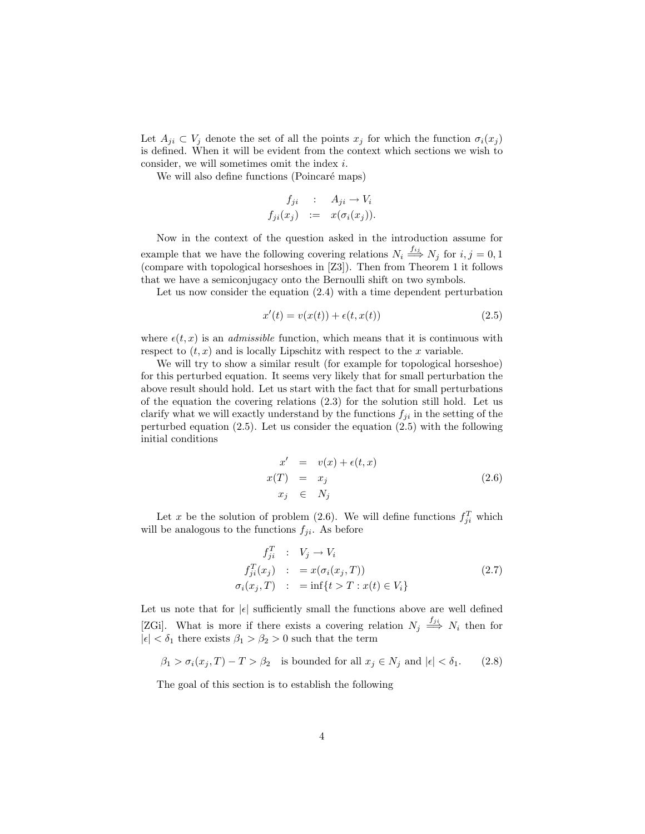Let  $A_{ji} \subset V_j$  denote the set of all the points  $x_j$  for which the function  $\sigma_i(x_j)$ is defined. When it will be evident from the context which sections we wish to consider, we will sometimes omit the index i.

We will also define functions (Poincaré maps)

$$
f_{ji} : A_{ji} \to V_i
$$
  

$$
f_{ji}(x_j) := x(\sigma_i(x_j)).
$$

Now in the context of the question asked in the introduction assume for example that we have the following covering relations  $N_i \stackrel{f_{ij}}{\Longrightarrow} N_j$  for  $i, j = 0, 1$ (compare with topological horseshoes in [Z3]). Then from Theorem 1 it follows that we have a semiconjugacy onto the Bernoulli shift on two symbols.

Let us now consider the equation (2.4) with a time dependent perturbation

$$
x'(t) = v(x(t)) + \epsilon(t, x(t))
$$
\n(2.5)

where  $\epsilon(t, x)$  is an *admissible* function, which means that it is continuous with respect to  $(t, x)$  and is locally Lipschitz with respect to the x variable.

We will try to show a similar result (for example for topological horseshoe) for this perturbed equation. It seems very likely that for small perturbation the above result should hold. Let us start with the fact that for small perturbations of the equation the covering relations (2.3) for the solution still hold. Let us clarify what we will exactly understand by the functions  $f_{ji}$  in the setting of the perturbed equation (2.5). Let us consider the equation (2.5) with the following initial conditions

$$
x' = v(x) + \epsilon(t, x)
$$
  
\n
$$
x(T) = x_j
$$
  
\n
$$
x_j \in N_j
$$
\n(2.6)

Let x be the solution of problem (2.6). We will define functions  $f_{ji}^T$  which will be analogous to the functions  $f_{ji}$ . As before

$$
f_{ji}^T : V_j \to V_i
$$
  
\n
$$
f_{ji}^T(x_j) : = x(\sigma_i(x_j, T))
$$
  
\n
$$
\sigma_i(x_j, T) : = \inf\{t > T : x(t) \in V_i\}
$$
\n(2.7)

Let us note that for  $|\epsilon|$  sufficiently small the functions above are well defined [ZGi]. What is more if there exists a covering relation  $N_j \stackrel{f_{ji}}{\Longrightarrow} N_i$  then for  $|\epsilon| < \delta_1$  there exists  $\beta_1 > \beta_2 > 0$  such that the term

$$
\beta_1 > \sigma_i(x_j, T) - T > \beta_2 \quad \text{is bounded for all } x_j \in N_j \text{ and } |\epsilon| < \delta_1. \tag{2.8}
$$

The goal of this section is to establish the following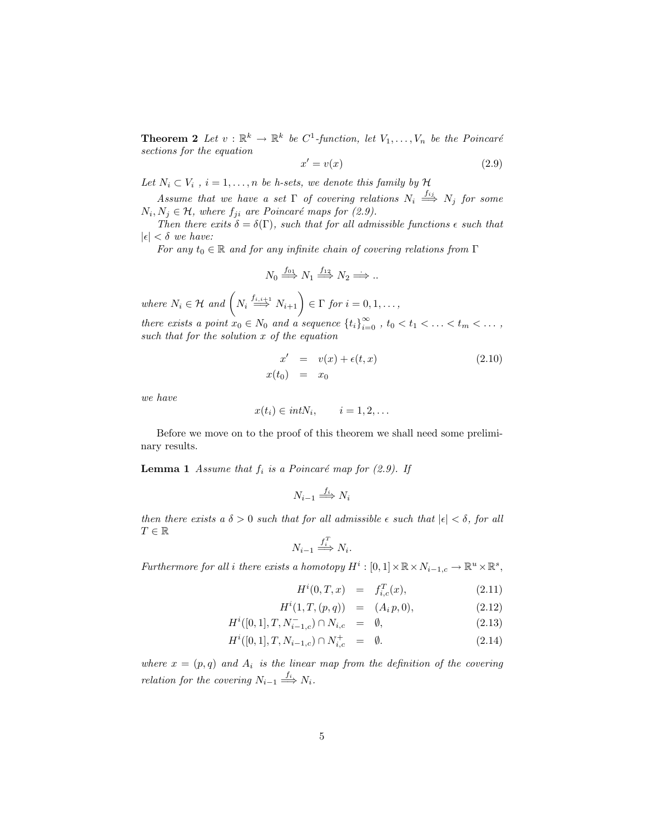**Theorem 2** Let  $v : \mathbb{R}^k \to \mathbb{R}^k$  be  $C^1$ -function, let  $V_1, \ldots, V_n$  be the Poincaré sections for the equation

$$
x' = v(x) \tag{2.9}
$$

Let  $N_i \subset V_i$ ,  $i = 1, \ldots, n$  be h-sets, we denote this family by H

Assume that we have a set  $\Gamma$  of covering relations  $N_i \stackrel{f_{ij}}{\Longrightarrow} N_j$  for some  $N_i, N_j \in \mathcal{H}$ , where  $f_{ji}$  are Poincaré maps for (2.9).

Then there exits  $\delta = \delta(\Gamma)$ , such that for all admissible functions  $\epsilon$  such that  $|\epsilon| < \delta$  we have:

For any  $t_0 \in \mathbb{R}$  and for any infinite chain of covering relations from  $\Gamma$ 

$$
N_0 \stackrel{f_{01}}{\Longrightarrow} N_1 \stackrel{f_{12}}{\Longrightarrow} N_2 \stackrel{f_{13}}{\Longrightarrow} \dots
$$

where  $N_i \in \mathcal{H}$  and  $\left(N_i \stackrel{f_{i,i+1}}{\Longrightarrow} N_{i+1}\right) \in \Gamma$  for  $i = 0, 1, \ldots$ ,

there exists a point  $x_0 \in N_0$  and a sequence  $\{t_i\}_{i=0}^{\infty}$ ,  $t_0 < t_1 < \ldots < t_m < \ldots$ , such that for the solution x of the equation

$$
x' = v(x) + \epsilon(t, x)
$$
  
\n
$$
x(t_0) = x_0
$$
\n(2.10)

we have

$$
x(t_i) \in intN_i, \qquad i = 1, 2, \dots
$$

Before we move on to the proof of this theorem we shall need some preliminary results.

**Lemma 1** Assume that  $f_i$  is a Poincaré map for (2.9). If

$$
N_{i-1} \xrightarrow{f_i} N_i
$$

then there exists a  $\delta > 0$  such that for all admissible  $\epsilon$  such that  $|\epsilon| < \delta$ , for all  $T\in\mathbb{R}$ 

$$
N_{i-1} \xrightarrow{f_i^T} N_i.
$$

Furthermore for all i there exists a homotopy  $H^i : [0,1] \times \mathbb{R} \times N_{i-1,c} \to \mathbb{R}^u \times \mathbb{R}^s$ ,

$$
H^{i}(0,T,x) = f_{i,c}^{T}(x), \qquad (2.11)
$$

$$
H^{i}(1, T, (p, q)) = (A_{i} p, 0), \qquad (2.12)
$$

$$
H^{i}([0,1], T, N_{i-1,c}^{-}) \cap N_{i,c} = \emptyset, \qquad (2.13)
$$

$$
H^{i}([0,1], T, N_{i-1,c}) \cap N_{i,c}^{+} = \emptyset.
$$
\n(2.14)

where  $x = (p, q)$  and  $A_i$  is the linear map from the definition of the covering relation for the covering  $N_{i-1} \stackrel{f_i}{\Longrightarrow} N_i$ .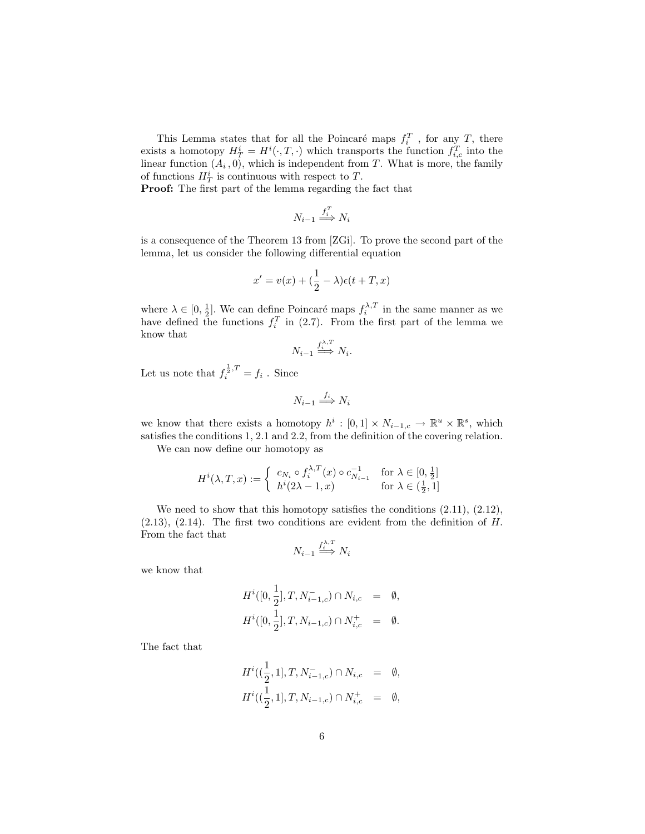This Lemma states that for all the Poincaré maps  $f_i^T$ , for any T, there exists a homotopy  $H_T^i = H^i(\cdot, T, \cdot)$  which transports the function  $f_{i,c}^T$  into the linear function  $(A_i, 0)$ , which is independent from T. What is more, the family of functions  $H_T^i$  is continuous with respect to T.

Proof: The first part of the lemma regarding the fact that

$$
N_{i-1} \xrightarrow{f_i^T} N_i
$$

is a consequence of the Theorem 13 from [ZGi]. To prove the second part of the lemma, let us consider the following differential equation

$$
x' = v(x) + (\frac{1}{2} - \lambda)\epsilon(t + T, x)
$$

where  $\lambda \in [0, \frac{1}{2}]$ . We can define Poincaré maps  $f_i^{\lambda, T}$  in the same manner as we have defined the functions  $f_i^T$  in (2.7). From the first part of the lemma we know that

$$
N_{i-1} \stackrel{f_i^{\lambda, T}}{\Longrightarrow} N_i.
$$

Let us note that  $f_i^{\frac{1}{2},T} = f_i$ . Since

$$
N_{i-1} \stackrel{f_i}{\Longrightarrow} N_i
$$

we know that there exists a homotopy  $h^i : [0,1] \times N_{i-1,c} \to \mathbb{R}^u \times \mathbb{R}^s$ , which satisfies the conditions 1, 2.1 and 2.2, from the definition of the covering relation.

We can now define our homotopy as

$$
H^i(\lambda, T, x) := \begin{cases} c_{N_i} \circ f_i^{\lambda, T}(x) \circ c_{N_{i-1}}^{-1} & \text{for } \lambda \in [0, \frac{1}{2}] \\ h^i(2\lambda - 1, x) & \text{for } \lambda \in (\frac{1}{2}, 1] \end{cases}
$$

We need to show that this homotopy satisfies the conditions  $(2.11)$ ,  $(2.12)$ ,  $(2.13)$ ,  $(2.14)$ . The first two conditions are evident from the definition of H. From the fact that

$$
N_{i-1} \stackrel{f_i^{\lambda, T}}{\Longrightarrow} N_i
$$

we know that

$$
H^{i}([0, \frac{1}{2}], T, N_{i-1,c}^{-}) \cap N_{i,c} = \emptyset,
$$
  

$$
H^{i}([0, \frac{1}{2}], T, N_{i-1,c}) \cap N_{i,c}^{+} = \emptyset.
$$

The fact that

$$
H^{i}((\frac{1}{2}, 1], T, N_{i-1,c}^{-}) \cap N_{i,c} = \emptyset,
$$
  

$$
H^{i}((\frac{1}{2}, 1], T, N_{i-1,c}) \cap N_{i,c}^{+} = \emptyset,
$$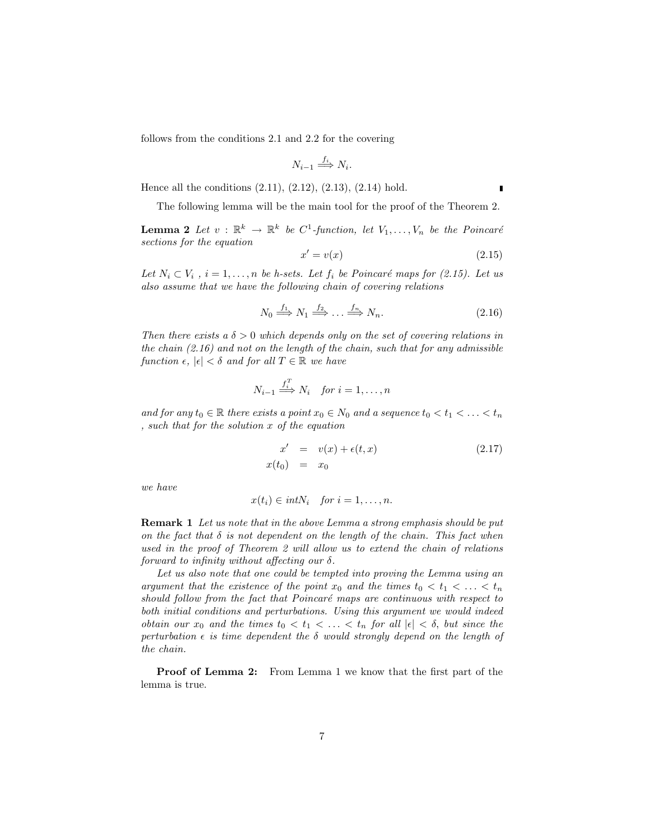follows from the conditions 2.1 and 2.2 for the covering

$$
N_{i-1} \stackrel{f_i}{\Longrightarrow} N_i.
$$

Hence all the conditions (2.11), (2.12), (2.13), (2.14) hold.

The following lemma will be the main tool for the proof of the Theorem 2.

**Lemma 2** Let  $v : \mathbb{R}^k \to \mathbb{R}^k$  be C<sup>1</sup>-function, let  $V_1, \ldots, V_n$  be the Poincaré sections for the equation

$$
x' = v(x) \tag{2.15}
$$

Let  $N_i \subset V_i$ ,  $i = 1, \ldots, n$  be h-sets. Let  $f_i$  be Poincaré maps for (2.15). Let us also assume that we have the following chain of covering relations

$$
N_0 \stackrel{f_1}{\Longrightarrow} N_1 \stackrel{f_2}{\Longrightarrow} \dots \stackrel{f_n}{\Longrightarrow} N_n. \tag{2.16}
$$

Then there exists a  $\delta > 0$  which depends only on the set of covering relations in the chain  $(2.16)$  and not on the length of the chain, such that for any admissible function  $\epsilon, |\epsilon| < \delta$  and for all  $T \in \mathbb{R}$  we have

$$
N_{i-1} \stackrel{f_i^T}{\Longrightarrow} N_i \quad \text{for } i = 1, \dots, n
$$

and for any  $t_0 \in \mathbb{R}$  there exists a point  $x_0 \in N_0$  and a sequence  $t_0 < t_1 < \ldots < t_n$ , such that for the solution x of the equation

$$
x' = v(x) + \epsilon(t, x)
$$
  
\n
$$
x(t_0) = x_0
$$
\n(2.17)

we have

$$
x(t_i) \in intN_i \quad \text{for } i = 1, \dots, n.
$$

Remark 1 Let us note that in the above Lemma a strong emphasis should be put on the fact that  $\delta$  is not dependent on the length of the chain. This fact when used in the proof of Theorem 2 will allow us to extend the chain of relations forward to infinity without affecting our  $\delta$ .

Let us also note that one could be tempted into proving the Lemma using an argument that the existence of the point  $x_0$  and the times  $t_0 < t_1 < \ldots < t_n$ should follow from the fact that Poincaré maps are continuous with respect to both initial conditions and perturbations. Using this argument we would indeed obtain our  $x_0$  and the times  $t_0 < t_1 < \ldots < t_n$  for all  $|\epsilon| < \delta$ , but since the perturbation  $\epsilon$  is time dependent the  $\delta$  would strongly depend on the length of the chain.

Proof of Lemma 2: From Lemma 1 we know that the first part of the lemma is true.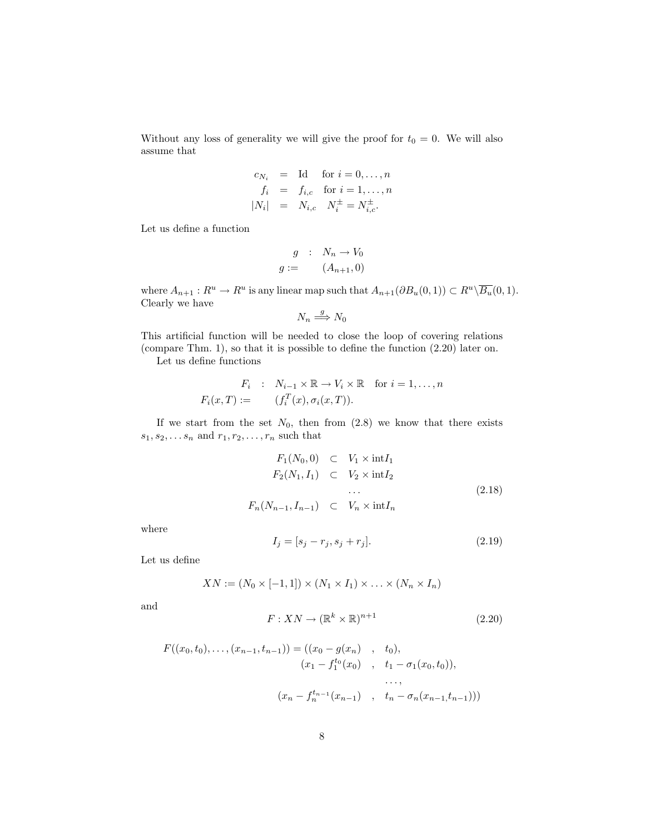Without any loss of generality we will give the proof for  $t_0 = 0$ . We will also assume that

$$
c_{N_i}
$$
 = Id for  $i = 0,..., n$   
\n $f_i$  =  $f_{i,c}$  for  $i = 1,..., n$   
\n $|N_i|$  =  $N_{i,c}$   $N_i^{\pm} = N_{i,c}^{\pm}$ .

Let us define a function

$$
g : N_n \to V_0
$$

$$
g := (A_{n+1}, 0)
$$

where  $A_{n+1}: R^u \to R^u$  is any linear map such that  $A_{n+1}(\partial B_u(0, 1)) \subset R^u \backslash \overline{B_u}(0, 1)$ . Clearly we have

$$
N_n \stackrel{g}{\Longrightarrow} N_0
$$

This artificial function will be needed to close the loop of covering relations (compare Thm. 1), so that it is possible to define the function (2.20) later on.

Let us define functions

$$
F_i : N_{i-1} \times \mathbb{R} \to V_i \times \mathbb{R} \quad \text{for } i = 1, \dots, n
$$
  

$$
F_i(x,T) := \qquad (f_i^T(x), \sigma_i(x,T)).
$$

If we start from the set  $N_0$ , then from  $(2.8)$  we know that there exists  $s_1, s_2, \ldots s_n$  and  $r_1, r_2, \ldots, r_n$  such that

$$
F_1(N_0,0) \subset V_1 \times \text{int} I_1
$$
  
\n
$$
F_2(N_1,I_1) \subset V_2 \times \text{int} I_2
$$
  
\n...  
\n
$$
F_n(N_{n-1},I_{n-1}) \subset V_n \times \text{int} I_n
$$
\n(2.18)

where

$$
I_j = [s_j - r_j, s_j + r_j].
$$
\n(2.19)

Let us define

$$
XN := (N_0 \times [-1,1]) \times (N_1 \times I_1) \times \ldots \times (N_n \times I_n)
$$

and

$$
F: XN \to (\mathbb{R}^k \times \mathbb{R})^{n+1} \tag{2.20}
$$

$$
F((x_0, t_0), \dots, (x_{n-1}, t_{n-1})) = ((x_0 - g(x_n), t_0),
$$
  
\n
$$
(x_1 - f_1^{t_0}(x_0), t_1 - \sigma_1(x_0, t_0)),
$$
  
\n
$$
\dots,
$$
  
\n
$$
(x_n - f_n^{t_{n-1}}(x_{n-1}), t_n - \sigma_n(x_{n-1}, t_{n-1})))
$$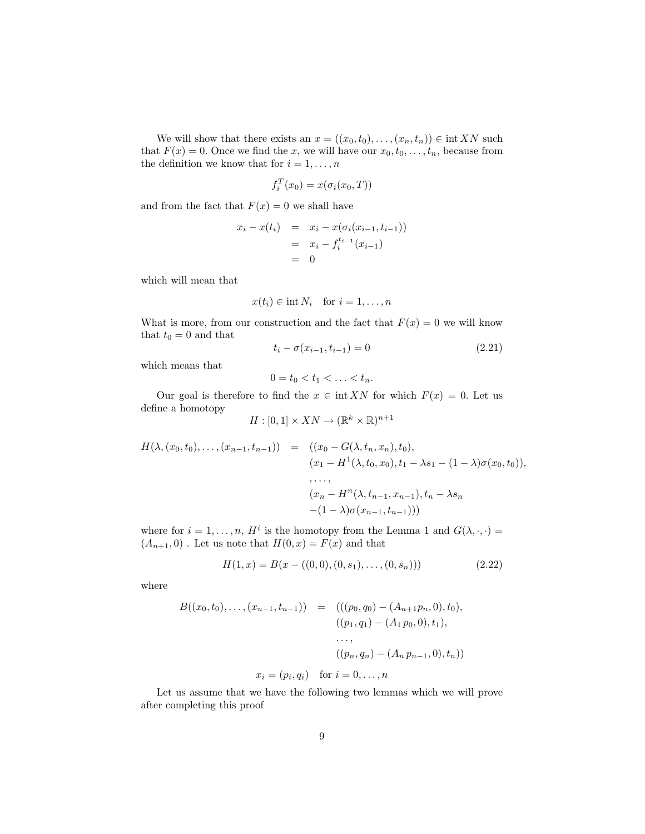We will show that there exists an  $x = ((x_0, t_0), \ldots, (x_n, t_n)) \in \text{int } XN$  such that  $F(x) = 0$ . Once we find the x, we will have our  $x_0, t_0, \ldots, t_n$ , because from the definition we know that for  $i = 1, \ldots, n$ 

$$
f_i^T(x_0) = x(\sigma_i(x_0, T))
$$

and from the fact that  $F(x) = 0$  we shall have

$$
x_i - x(t_i) = x_i - x(\sigma_i(x_{i-1}, t_{i-1}))
$$
  
=  $x_i - f_i^{t_{i-1}}(x_{i-1})$   
= 0

which will mean that

$$
x(t_i) \in \text{int } N_i \quad \text{for } i = 1, \dots, n
$$

What is more, from our construction and the fact that  $F(x) = 0$  we will know that  $t_0 = 0$  and that

$$
t_i - \sigma(x_{i-1}, t_{i-1}) = 0 \tag{2.21}
$$

which means that

$$
0=t_0
$$

Our goal is therefore to find the  $x \in \text{int } XN$  for which  $F(x) = 0$ . Let us define a homotopy  $-1$ 

$$
H:[0,1]\times XN\to (\mathbb{R}^k\times\mathbb{R})^{n+}
$$

$$
H(\lambda, (x_0, t_0), \dots, (x_{n-1}, t_{n-1})) = ((x_0 - G(\lambda, t_n, x_n), t_0),
$$
  
\n
$$
(x_1 - H^1(\lambda, t_0, x_0), t_1 - \lambda s_1 - (1 - \lambda) \sigma(x_0, t_0)),
$$
  
\n
$$
\dots,
$$
  
\n
$$
(x_n - H^n(\lambda, t_{n-1}, x_{n-1}), t_n - \lambda s_n
$$
  
\n
$$
-(1 - \lambda) \sigma(x_{n-1}, t_{n-1})))
$$

where for  $i = 1, \ldots, n$ ,  $H^i$  is the homotopy from the Lemma 1 and  $G(\lambda, \cdot, \cdot)$  $(A_{n+1}, 0)$ . Let us note that  $H(0, x) = F(x)$  and that

$$
H(1, x) = B(x - ((0, 0), (0, s_1), \dots, (0, s_n)))
$$
\n(2.22)

where

$$
B((x_0, t_0), \dots, (x_{n-1}, t_{n-1})) = (((p_0, q_0) - (A_{n+1}p_n, 0), t_0),
$$
  

$$
((p_1, q_1) - (A_1 p_0, 0), t_1),
$$
  

$$
\dots,
$$
  

$$
((p_n, q_n) - (A_n p_{n-1}, 0), t_n))
$$
  

$$
x_i = (p_i, q_i) \text{ for } i = 0, \dots, n
$$

Let us assume that we have the following two lemmas which we will prove after completing this proof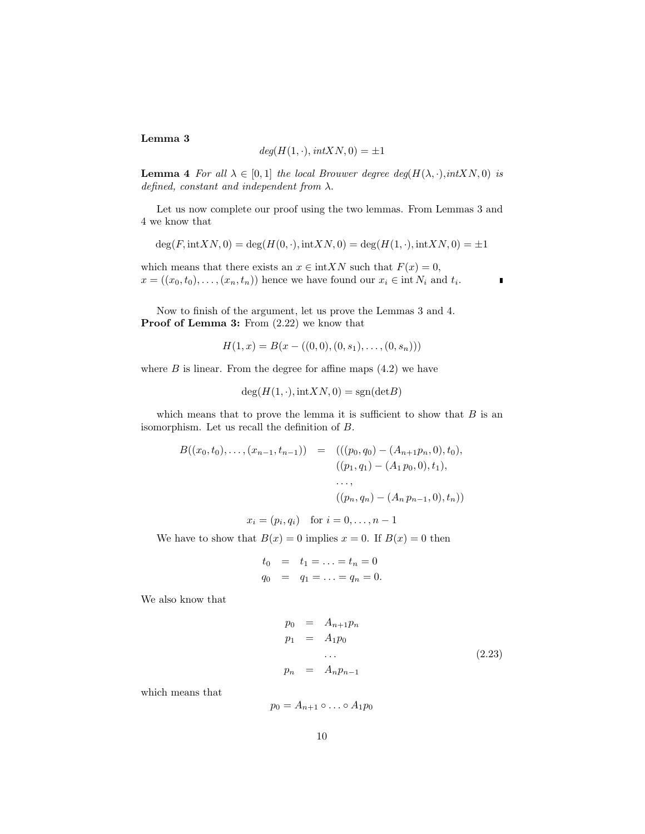#### Lemma 3

$$
deg(H(1, \cdot), intXN, 0) = \pm 1
$$

**Lemma 4** For all  $\lambda \in [0,1]$  the local Brouwer degree deg( $H(\lambda, \cdot), int XN, 0$ ) is defined, constant and independent from  $\lambda$ .

Let us now complete our proof using the two lemmas. From Lemmas 3 and 4 we know that

$$
\deg(F, \text{int} X N, 0) = \deg(H(0, \cdot), \text{int} X N, 0) = \deg(H(1, \cdot), \text{int} X N, 0) = \pm 1
$$

which means that there exists an  $x \in \text{int}XN$  such that  $F(x) = 0$ ,  $x = ((x_0, t_0), \ldots, (x_n, t_n))$  hence we have found our  $x_i \in \text{int } N_i$  and  $t_i$ .

Now to finish of the argument, let us prove the Lemmas 3 and 4. Proof of Lemma 3: From  $(2.22)$  we know that

$$
H(1, x) = B(x - ((0, 0), (0, s_1), \dots, (0, s_n)))
$$

where  $B$  is linear. From the degree for affine maps  $(4.2)$  we have

$$
\deg(H(1,\cdot),\text{int}XN,0) = \text{sgn}(\text{det}B)
$$

which means that to prove the lemma it is sufficient to show that  $B$  is an isomorphism. Let us recall the definition of B.

$$
B((x_0, t_0), \dots, (x_{n-1}, t_{n-1})) = (((p_0, q_0) - (A_{n+1}p_n, 0), t_0),
$$
  

$$
((p_1, q_1) - (A_1p_0, 0), t_1),
$$
  

$$
\dots,
$$
  

$$
((p_n, q_n) - (A_n p_{n-1}, 0), t_n))
$$
  

$$
x_i = (p_i, q_i) \text{ for } i = 0, \dots, n-1
$$

We have to show that  $B(x) = 0$  implies  $x = 0$ . If  $B(x) = 0$  then

$$
t_0 = t_1 = \ldots = t_n = 0
$$
  
\n $q_0 = q_1 = \ldots = q_n = 0.$ 

We also know that

$$
p_0 = A_{n+1}p_n
$$
  
\n
$$
p_1 = A_1p_0
$$
  
\n...  
\n
$$
p_n = A_np_{n-1}
$$
  
\n(2.23)

П

which means that

 $p_0 = A_{n+1} \circ \ldots \circ A_1 p_0$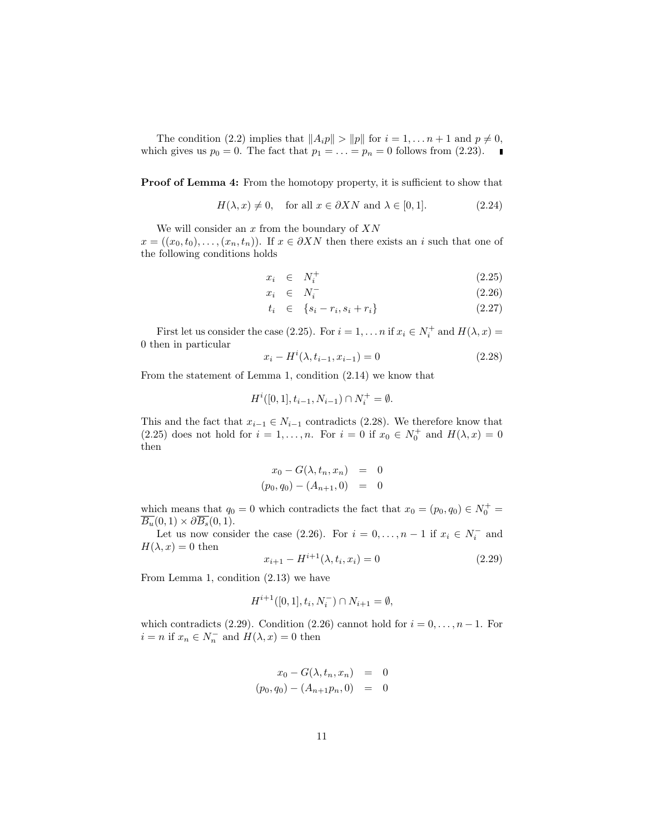The condition (2.2) implies that  $||A_ip|| > ||p||$  for  $i = 1, \ldots n + 1$  and  $p \neq 0$ , which gives us  $p_0 = 0$ . The fact that  $p_1 = \ldots = p_n = 0$  follows from (2.23).

**Proof of Lemma 4:** From the homotopy property, it is sufficient to show that

$$
H(\lambda, x) \neq 0, \quad \text{for all } x \in \partial XN \text{ and } \lambda \in [0, 1]. \tag{2.24}
$$

We will consider an  $x$  from the boundary of  $XN$ 

 $x = ((x_0, t_0), \ldots, (x_n, t_n))$ . If  $x \in \partial XN$  then there exists an i such that one of the following conditions holds

$$
x_i \in N_i^+ \tag{2.25}
$$

$$
x_i \in N_i^- \tag{2.26}
$$

$$
t_i \in \{s_i - r_i, s_i + r_i\} \tag{2.27}
$$

First let us consider the case (2.25). For  $i = 1, ..., n$  if  $x_i \in N_i^+$  and  $H(\lambda, x) =$ 0 then in particular

$$
x_i - H^i(\lambda, t_{i-1}, x_{i-1}) = 0 \tag{2.28}
$$

From the statement of Lemma 1, condition (2.14) we know that

$$
H^i([0,1], t_{i-1}, N_{i-1}) \cap N_i^+ = \emptyset.
$$

This and the fact that  $x_{i-1} \in N_{i-1}$  contradicts (2.28). We therefore know that (2.25) does not hold for  $i = 1, ..., n$ . For  $i = 0$  if  $x_0 \in N_0^+$  and  $H(\lambda, x) = 0$ then

$$
x_0 - G(\lambda, t_n, x_n) = 0
$$
  
(p<sub>0</sub>, q<sub>0</sub>) - (A<sub>n+1</sub>, 0) = 0

which means that  $q_0 = 0$  which contradicts the fact that  $x_0 = (p_0, q_0) \in N_0^+$  $\overline{B_u}(0,1)\times \partial \overline{B_s}(0,1).$ 

Let us now consider the case (2.26). For  $i = 0, ..., n - 1$  if  $x_i \in N_i^-$  and  $H(\lambda, x) = 0$  then

$$
x_{i+1} - H^{i+1}(\lambda, t_i, x_i) = 0 \tag{2.29}
$$

From Lemma 1, condition (2.13) we have

$$
H^{i+1}([0,1], t_i, N_i^-) \cap N_{i+1} = \emptyset,
$$

which contradicts (2.29). Condition (2.26) cannot hold for  $i = 0, \ldots, n - 1$ . For  $i = n$  if  $x_n \in N_n^-$  and  $H(\lambda, x) = 0$  then

$$
x_0 - G(\lambda, t_n, x_n) = 0
$$
  
(p<sub>0</sub>, q<sub>0</sub>) - (A<sub>n+1</sub>p<sub>n</sub>, 0) = 0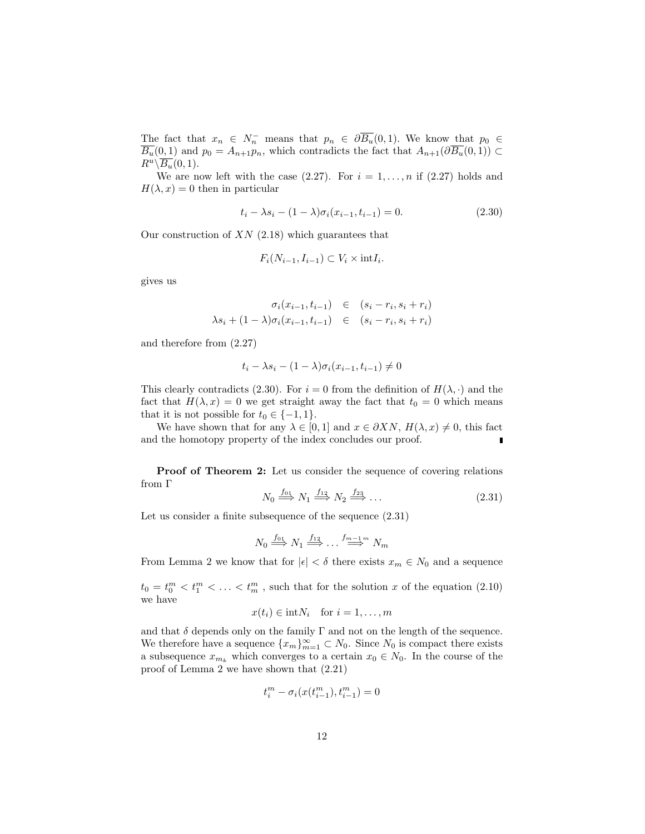The fact that  $x_n \in N_n^-$  means that  $p_n \in \partial \overline{B_u}(0,1)$ . We know that  $p_0 \in$  $\overline{B_u}(0,1)$  and  $p_0 = A_{n+1}p_n$ , which contradicts the fact that  $A_{n+1}(\partial \overline{B_u}(0,1)) \subset$  $R^u \backslash B_u(0,1)$ .

We are now left with the case  $(2.27)$ . For  $i = 1, \ldots, n$  if  $(2.27)$  holds and  $H(\lambda, x) = 0$  then in particular

$$
t_i - \lambda s_i - (1 - \lambda)\sigma_i(x_{i-1}, t_{i-1}) = 0.
$$
\n(2.30)

Our construction of  $XN$  (2.18) which guarantees that

$$
F_i(N_{i-1}, I_{i-1}) \subset V_i \times \text{int} I_i.
$$

gives us

$$
\sigma_i(x_{i-1}, t_{i-1}) \in (s_i - r_i, s_i + r_i)
$$
  

$$
\lambda s_i + (1 - \lambda)\sigma_i(x_{i-1}, t_{i-1}) \in (s_i - r_i, s_i + r_i)
$$

and therefore from (2.27)

$$
t_i - \lambda s_i - (1 - \lambda)\sigma_i(x_{i-1}, t_{i-1}) \neq 0
$$

This clearly contradicts (2.30). For  $i = 0$  from the definition of  $H(\lambda, \cdot)$  and the fact that  $H(\lambda, x) = 0$  we get straight away the fact that  $t_0 = 0$  which means that it is not possible for  $t_0 \in \{-1, 1\}.$ 

We have shown that for any  $\lambda \in [0,1]$  and  $x \in \partial XN$ ,  $H(\lambda, x) \neq 0$ , this fact and the homotopy property of the index concludes our proof. П

Proof of Theorem 2: Let us consider the sequence of covering relations from Γ

$$
N_0 \stackrel{f_{01}}{\Longrightarrow} N_1 \stackrel{f_{12}}{\Longrightarrow} N_2 \stackrel{f_{23}}{\Longrightarrow} \dots \tag{2.31}
$$

Let us consider a finite subsequence of the sequence  $(2.31)$ 

$$
N_0 \stackrel{f_{01}}{\Longrightarrow} N_1 \stackrel{f_{12}}{\Longrightarrow} \dots \stackrel{f_{m-1}m}{\Longrightarrow} N_m
$$

From Lemma 2 we know that for  $|\epsilon| < \delta$  there exists  $x_m \in N_0$  and a sequence

 $t_0 = t_0^m < t_1^m < \ldots < t_m^m$ , such that for the solution x of the equation (2.10) we have

$$
x(t_i) \in \text{int}N_i \quad \text{for } i = 1, \dots, m
$$

and that  $\delta$  depends only on the family  $\Gamma$  and not on the length of the sequence. We therefore have a sequence  $\{x_m\}_{m=1}^{\infty} \subset N_0$ . Since  $N_0$  is compact there exists a subsequence  $x_{m_k}$  which converges to a certain  $x_0 \in N_0$ . In the course of the proof of Lemma 2 we have shown that (2.21)

$$
t_i^m - \sigma_i(x(t_{i-1}^m), t_{i-1}^m) = 0
$$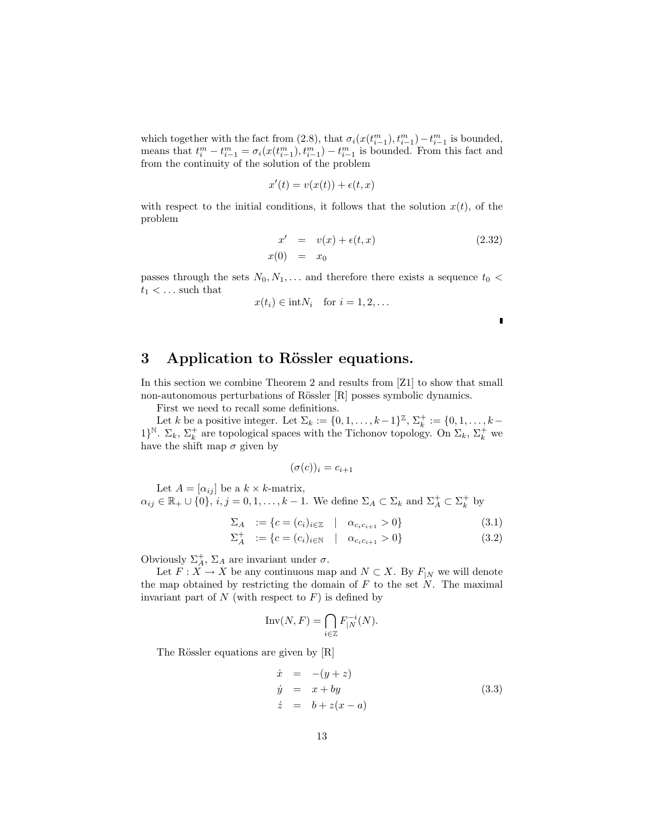which together with the fact from (2.8), that  $\sigma_i(x(t_{i-1}^m), t_{i-1}^m) - t_{i-1}^m$  is bounded, means that  $t_i^m - t_{i-1}^m = \sigma_i(x(t_{i-1}^m), t_{i-1}^m) - t_{i-1}^m$  is bounded. From this fact and from the continuity of the solution of the problem

$$
x'(t) = v(x(t)) + \epsilon(t, x)
$$

with respect to the initial conditions, it follows that the solution  $x(t)$ , of the problem

$$
x' = v(x) + \epsilon(t, x)
$$
  
\n
$$
x(0) = x_0
$$
\n(2.32)

passes through the sets  $N_0, N_1, \ldots$  and therefore there exists a sequence  $t_0$  <  $t_1 < \dots$  such that

$$
x(t_i) \in \text{int}N_i \quad \text{for } i = 1, 2, \dots
$$

 $\blacksquare$ 

## 3 Application to Rössler equations.

In this section we combine Theorem 2 and results from [Z1] to show that small non-autonomous perturbations of Rössler [R] posses symbolic dynamics.

First we need to recall some definitions.

Let k be a positive integer. Let  $\Sigma_k := \{0, 1, \ldots, k-1\}^{\mathbb{Z}}, \Sigma_k^+ := \{0, 1, \ldots, k-1\}^{\mathbb{Z}}$ 1}<sup>N</sup>.  $\Sigma_k$ ,  $\Sigma_k^+$  are topological spaces with the Tichonov topology. On  $\Sigma_k$ ,  $\Sigma_k^+$  we have the shift map  $\sigma$  given by

$$
(\sigma(c))_i = c_{i+1}
$$

Let  $A = [\alpha_{ij}]$  be a  $k \times k$ -matrix,  $\alpha_{ij} \in \mathbb{R}_+ \cup \{0\}$ ,  $i, j = 0, 1, \ldots, k - 1$ . We define  $\Sigma_A \subset \Sigma_k$  and  $\Sigma_A^+ \subset \Sigma_k^+$  by

$$
\Sigma_A := \{c = (c_i)_{i \in \mathbb{Z}} \mid \alpha_{c_i c_{i+1}} > 0\}
$$
\n
$$
\Sigma^+ := \{c = (c_i)_{i \in \mathbb{Z}} \mid \alpha_{c_i c_{i+1}} > 0\}
$$
\n(3.1)

$$
\Sigma_A^+ := \{c = (c_i)_{i \in \mathbb{N}} \mid \alpha_{c_i c_{i+1}} > 0\}
$$
\n(3.2)

Obviously  $\Sigma_A^+$ ,  $\Sigma_A$  are invariant under  $\sigma$ .

Let  $F: X \to X$  be any continuous map and  $N \subset X$ . By  $F_{|N}$  we will denote the map obtained by restricting the domain of  $F$  to the set  $N$ . The maximal invariant part of  $N$  (with respect to  $F$ ) is defined by

$$
\operatorname{Inv}(N,F) = \bigcap_{i \in \mathbb{Z}} F_{|N}^{-i}(N).
$$

The Rössler equations are given by [R]

$$
\begin{array}{rcl}\n\dot{x} &=& -(y+z) \\
\dot{y} &=& x+by \\
\dot{z} &=& b+z(x-a)\n\end{array} \n\tag{3.3}
$$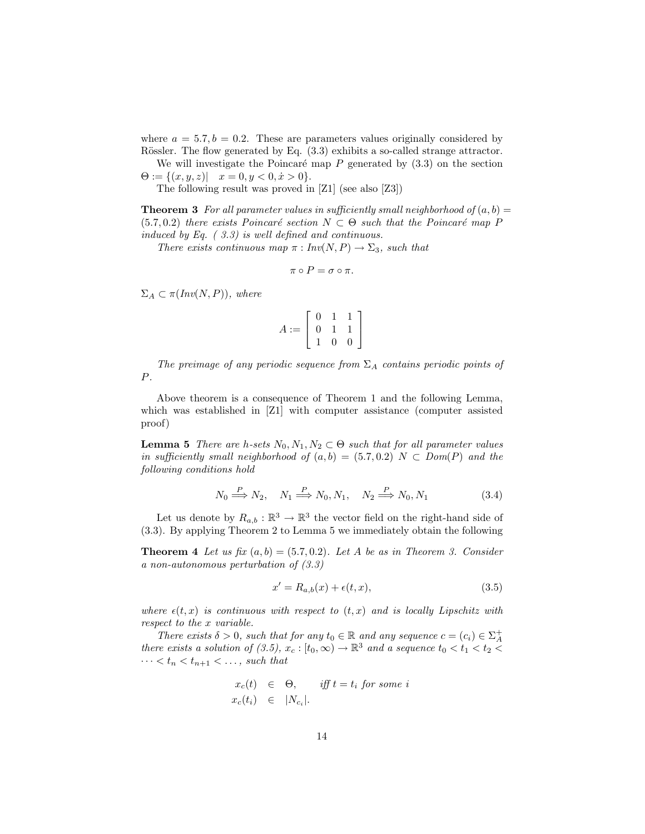where  $a = 5.7, b = 0.2$ . These are parameters values originally considered by Rössler. The flow generated by Eq.  $(3.3)$  exhibits a so-called strange attractor.

We will investigate the Poincaré map  $P$  generated by  $(3.3)$  on the section  $\Theta := \{ (x, y, z) | \quad x = 0, y < 0, \dot{x} > 0 \}.$ 

The following result was proved in [Z1] (see also [Z3])

**Theorem 3** For all parameter values in sufficiently small neighborhood of  $(a, b)$  =  $(5.7, 0.2)$  there exists Poincaré section  $N \subset \Theta$  such that the Poincaré map P induced by Eq. ( 3.3) is well defined and continuous.

There exists continuous map  $\pi : Inv(N, P) \to \Sigma_3$ , such that

$$
\pi\circ P=\sigma\circ\pi.
$$

 $\Sigma_A \subset \pi(Inv(N, P)),$  where

$$
A := \left[ \begin{array}{rrr} 0 & 1 & 1 \\ 0 & 1 & 1 \\ 1 & 0 & 0 \end{array} \right]
$$

The preimage of any periodic sequence from  $\Sigma_A$  contains periodic points of P.

Above theorem is a consequence of Theorem 1 and the following Lemma, which was established in [Z1] with computer assistance (computer assisted proof)

**Lemma 5** There are h-sets  $N_0, N_1, N_2 \subset \Theta$  such that for all parameter values in sufficiently small neighborhood of  $(a, b) = (5.7, 0.2)$  N  $\subset Dom(P)$  and the following conditions hold

$$
N_0 \stackrel{P}{\Longrightarrow} N_2, \quad N_1 \stackrel{P}{\Longrightarrow} N_0, N_1, \quad N_2 \stackrel{P}{\Longrightarrow} N_0, N_1 \tag{3.4}
$$

Let us denote by  $R_{a,b} : \mathbb{R}^3 \to \mathbb{R}^3$  the vector field on the right-hand side of (3.3). By applying Theorem 2 to Lemma 5 we immediately obtain the following

**Theorem 4** Let us fix  $(a, b) = (5.7, 0.2)$ . Let A be as in Theorem 3. Consider a non-autonomous perturbation of (3.3)

$$
x' = R_{a,b}(x) + \epsilon(t, x),\tag{3.5}
$$

where  $\epsilon(t, x)$  is continuous with respect to  $(t, x)$  and is locally Lipschitz with respect to the x variable.

There exists  $\delta > 0$ , such that for any  $t_0 \in \mathbb{R}$  and any sequence  $c = (c_i) \in \Sigma_A^+$ there exists a solution of (3.5),  $x_c : [t_0, \infty) \to \mathbb{R}^3$  and a sequence  $t_0 < t_1 < t_2 <$  $\cdots < t_n < t_{n+1} < \ldots$ , such that

$$
x_c(t) \in \Theta, \quad \text{iff } t = t_i \text{ for some } i
$$
  

$$
x_c(t_i) \in |N_{c_i}|.
$$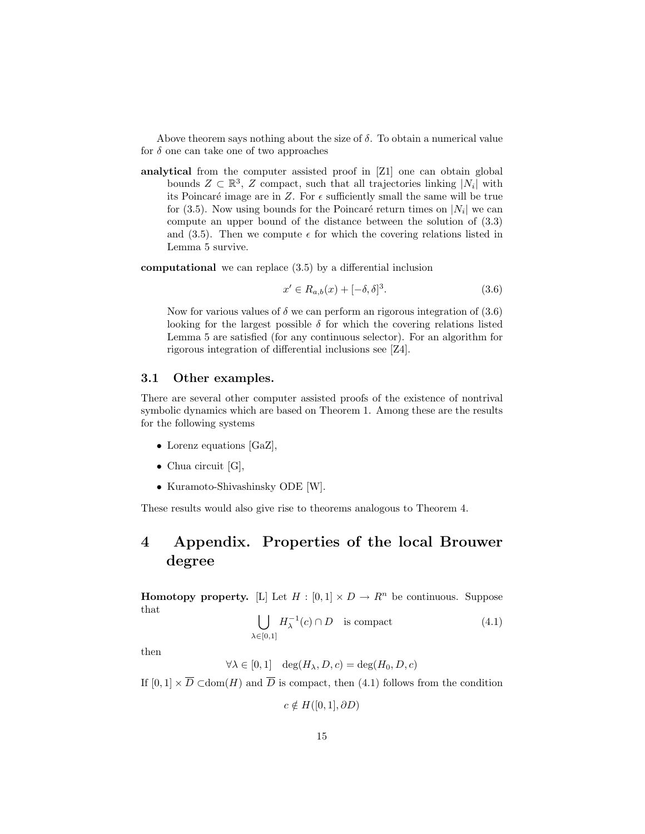Above theorem says nothing about the size of  $\delta$ . To obtain a numerical value for  $\delta$  one can take one of two approaches

analytical from the computer assisted proof in [Z1] one can obtain global bounds  $Z \subset \mathbb{R}^3$ , Z compact, such that all trajectories linking  $|N_i|$  with its Poincaré image are in  $Z$ . For  $\epsilon$  sufficiently small the same will be true for (3.5). Now using bounds for the Poincaré return times on  $|N_i|$  we can compute an upper bound of the distance between the solution of (3.3) and (3.5). Then we compute  $\epsilon$  for which the covering relations listed in Lemma 5 survive.

computational we can replace (3.5) by a differential inclusion

$$
x' \in R_{a,b}(x) + [-\delta, \delta]^3. \tag{3.6}
$$

Now for various values of  $\delta$  we can perform an rigorous integration of (3.6) looking for the largest possible  $\delta$  for which the covering relations listed Lemma 5 are satisfied (for any continuous selector). For an algorithm for rigorous integration of differential inclusions see [Z4].

#### 3.1 Other examples.

There are several other computer assisted proofs of the existence of nontrival symbolic dynamics which are based on Theorem 1. Among these are the results for the following systems

- Lorenz equations [GaZ],
- Chua circuit [G],
- Kuramoto-Shivashinsky ODE [W].

These results would also give rise to theorems analogous to Theorem 4.

## 4 Appendix. Properties of the local Brouwer degree

**Homotopy property.** [L] Let  $H : [0,1] \times D \to R^n$  be continuous. Suppose that  $\mathbf{r}$ 

$$
\bigcup_{\lambda \in [0,1]} H_{\lambda}^{-1}(c) \cap D \quad \text{is compact} \tag{4.1}
$$

then

$$
\forall \lambda \in [0, 1] \quad \deg(H_{\lambda}, D, c) = \deg(H_0, D, c)
$$

If  $[0,1] \times \overline{D} \subset \text{dom}(H)$  and  $\overline{D}$  is compact, then (4.1) follows from the condition

 $c \notin H([0, 1], \partial D)$